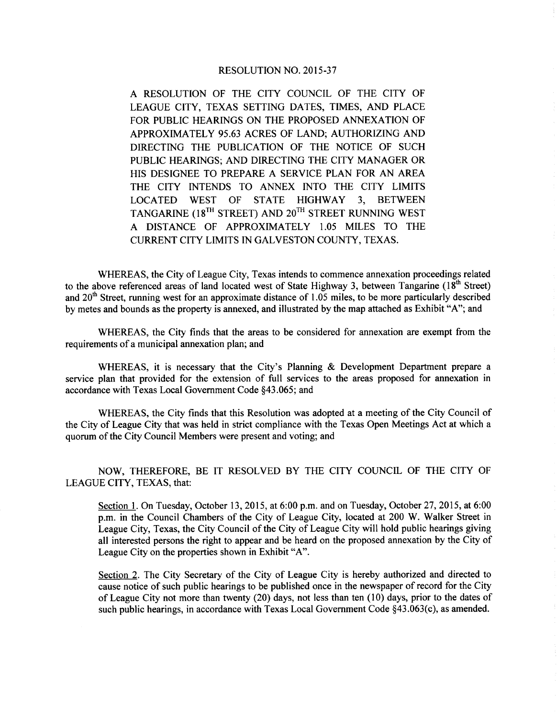A RESOLUTION OF THE CITY COUNCIL OF THE CITY OF LEAGUE CITY, TEXAS SETTING DATES, TIMES, AND PLACE FOR PUBLIC HEARINGS ON THE PROPOSED ANNEXATION OF APPROXIMATELY 95.63 ACRES OF LAND; AUTHORIZING AND DIRECTING THE PUBLICATION OF THE NOTICE OF SUCH PUBLIC HEARINGS; AND DIRECTING THE CITY MANAGER OR HIS DESIGNEE TO PREPARE A SERVICE PLAN FOR AN AREA THE CITY INTENDS TO ANNEX INTO THE CITY LIMITS LOCATED WEST OF STATE HIGHWAY 3, BETWEEN TANGARINE ( $18^{TH}$  STREET) AND  $20^{TH}$  STREET RUNNING WEST A DISTANCE OF APPROXIMATELY 1.05 MILES TO THE CURRENT CITY LIMITS IN GALVESTON COUNTY, TEXAS.

WHEREAS, the City of League City, Texas intends to commence annexation proceedings related to the above referenced areas of land located west of State Highway 3, between Tangarine  $(18<sup>th</sup>$  Street) and 20<sup>th</sup> Street, running west for an approximate distance of 1.05 miles, to be more particularly described by metes and bounds as the property is annexed, and illustrated by the map attached as Exhibit "A"; and

WHEREAS, the City finds that the areas to be considered for annexation are exempt from the requirements of <sup>a</sup> municipal annexation plan; and

WHEREAS, it is necessary that the City's Planning  $\&$  Development Department prepare a service plan that provided for the extension of full services to the areas proposed for annexation in accordance with Texas Local Government Code §43. 065; and

WHEREAS, the City finds that this Resolution was adopted at <sup>a</sup> meeting of the City Council of the City of League City that was held in strict compliance with the Texas Open Meetings Act at which <sup>a</sup> quorum of the City Council Members were present and voting; and

NOW, THEREFORE, BE IT RESOLVED BY THE CITY COUNCIL OF THE CITY OF LEAGUE CITY, TEXAS, that:

Section 1. On Tuesday, October 13, 2015, at 6:00 p.m. and on Tuesday, October 27, 2015, at 6:00 p.m. in the Council Chambers of the City of League City, located at 200 W. Walker Street in League City, Texas, the City Council of the City of League City will hold public hearings giving all interested persons the right to appear and be heard on the proposed annexation by the City of League City on the properties shown in Exhibit "A".

Section 2. The City Secretary of the City of League City is hereby authorized and directed to cause notice of such public hearings to be published once in the newspaper of record for the City of League City not more than twenty (20) days, not less than ten (10) days, prior to the dates of such public hearings, in accordance with Texas Local Government Code §43.063(c), as amended.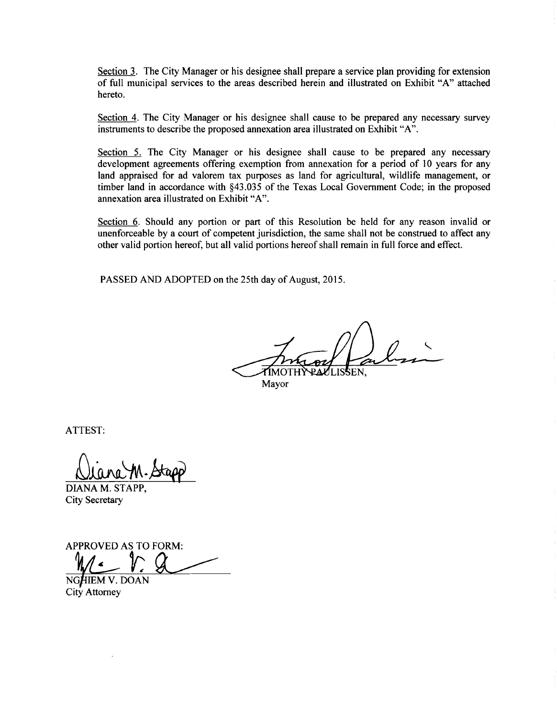Section 3. The City Manager or his designee shall prepare a service plan providing for extension of full municipal services to the areas described herein and illustrated on Exhibit "A" attached hereto.

Section 4. The City Manager or his designee shall cause to be prepared any necessary survey instruments to describe the proposed annexation area illustrated on Exhibit "A".

Section 5. The City Manager or his designee shall cause to be prepared any necessary development agreements offering exemption from annexation for <sup>a</sup> period of <sup>10</sup> years for any land appraised for ad valorem tax purposes as land for agricultural, wildlife management, or timber land in accordance with §43. 035 of the Texas Local Government Code; in the proposed annexation area illustrated on Exhibit "A".

Section 6. Should any portion or part of this Resolution be held for any reason invalid or unenforceable by <sup>a</sup> court of competent jurisdiction, the same shall not be construed to affect any other valid portion hereof, but all valid portions hereof shall remain in full force and effect.

PASSED AND ADOPTED on the 25th day of August, 2015.

TIMOTHY Mayor

ATTEST:

<u>Diana M.</u>

DIANA M. STAPP, City Secretary

APPROVED AS TO FORM:

NGHIEM V. DOAN City Attorney